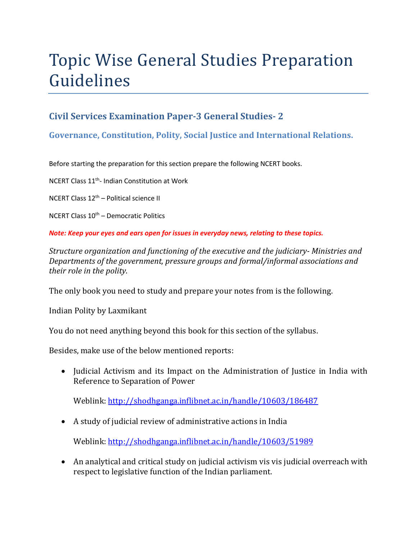# Topic Wise General Studies Preparation Guidelines

## **Civil Services Examination Paper-3 General Studies- 2**

### **Governance, Constitution, Polity, Social Justice and International Relations.**

Before starting the preparation for this section prepare the following NCERT books.

NCERT Class 11th- Indian Constitution at Work

NCERT Class  $12<sup>th</sup>$  – Political science II

NCERT Class  $10^{th}$  – Democratic Politics

*Note: Keep your eyes and ears open for issues in everyday news, relating to these topics.* 

*Structure organization and functioning of the executive and the judiciary- Ministries and Departments of the government, pressure groups and formal/informal associations and their role in the polity.* 

The only book you need to study and prepare your notes from is the following.

Indian Polity by Laxmikant

You do not need anything beyond this book for this section of the syllabus.

Besides, make use of the below mentioned reports:

• Judicial Activism and its Impact on the Administration of Justice in India with Reference to Separation of Power

Weblink: http://shodhganga.inflibnet.ac.in/handle/10603/186487

A study of judicial review of administrative actions in India

Weblink: http://shodhganga.inflibnet.ac.in/handle/10603/51989

 An analytical and critical study on judicial activism vis vis judicial overreach with respect to legislative function of the Indian parliament.